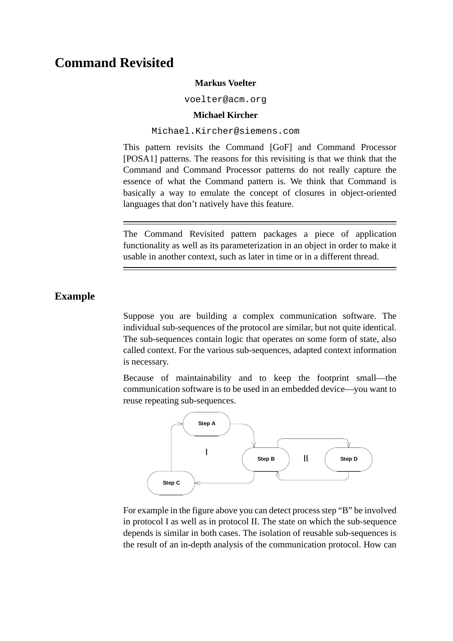# **Command Revisited**

#### **Markus Voelter**

voelter@acm.org

#### **Michael Kircher**

#### Michael.Kircher@siemens.com

This pattern revisits the Command [\[GoF\]](#page-6-0) and Command Processor [\[POSA1\]](#page-6-1) patterns. The reasons for this revisiting is that we think that the Command and Command Processor patterns do not really capture the essence of what the Command pattern is. We think that Command is basically a way to emulate the concept of closures in object-oriented languages that don't natively have this feature.

The Command Revisited pattern packages a piece of application functionality as well as its parameterization in an object in order to make it usable in another context, such as later in time or in a different thread.

# **Example**

Suppose you are building a complex communication software. The individual sub-sequences of the protocol are similar, but not quite identical. The sub-sequences contain logic that operates on some form of state, also called context. For the various sub-sequences, adapted context information is necessary.

Because of maintainability and to keep the footprint small—the communication software is to be used in an embedded device—you want to reuse repeating sub-sequences.



For example in the figure above you can detect process step "B" be involved in protocol I as well as in protocol II. The state on which the sub-sequence depends is similar in both cases. The isolation of reusable sub-sequences is the result of an in-depth analysis of the communication protocol. How can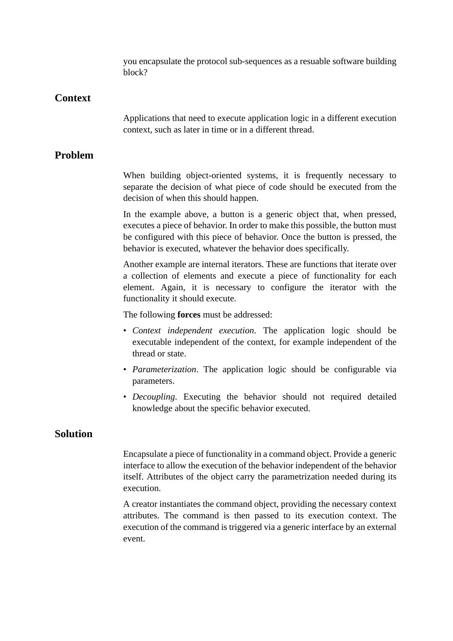you encapsulate the protocol sub-sequences as a resuable software building block?

# **Context**

Applications that need to execute application logic in a different execution context, such as later in time or in a different thread.

# **Problem**

When building object-oriented systems, it is frequently necessary to separate the decision of what piece of code should be executed from the decision of when this should happen.

In the example above, a button is a generic object that, when pressed, executes a piece of behavior. In order to make this possible, the button must be configured with this piece of behavior. Once the button is pressed, the behavior is executed, whatever the behavior does specifically.

Another example are internal iterators. These are functions that iterate over a collection of elements and execute a piece of functionality for each element. Again, it is necessary to configure the iterator with the functionality it should execute.

The following **forces** must be addressed:

- *Context independent execution*. The application logic should be executable independent of the context, for example independent of the thread or state.
- *Parameterization*. The application logic should be configurable via parameters.
- *Decoupling*. Executing the behavior should not required detailed knowledge about the specific behavior executed.

### **Solution**

Encapsulate a piece of functionality in a command object. Provide a generic interface to allow the execution of the behavior independent of the behavior itself. Attributes of the object carry the parametrization needed during its execution.

A creator instantiates the command object, providing the necessary context attributes. The command is then passed to its execution context. The execution of the command is triggered via a generic interface by an external event.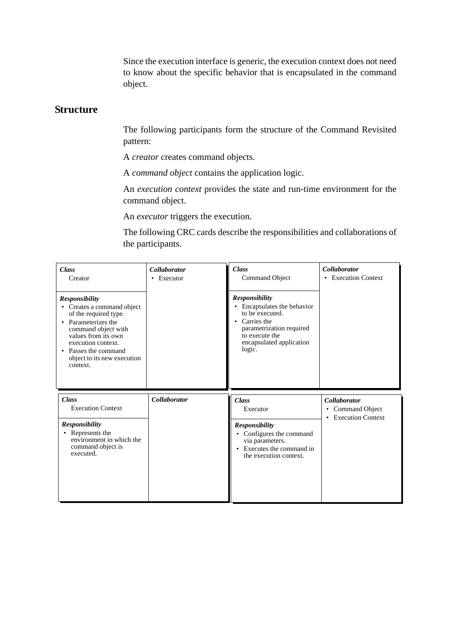Since the execution interface is generic, the execution context does not need to know about the specific behavior that is encapsulated in the command object.

#### **Structure**

The following participants form the structure of the Command Revisited pattern:

A *creator* creates command objects.

A *command object* contains the application logic.

An *execution context* provides the state and run-time environment for the command object.

An *executor* triggers the execution.

The following CRC cards describe the responsibilities and collaborations of the participants.

| <b>Class</b><br>Creator                                                                                                                                                                                                                    | <b>Collaborator</b><br>$\bullet$ Executor | <b>Class</b><br>Command Object                                                                                                                                               | <b>Collaborator</b><br>• Execution Context                     |
|--------------------------------------------------------------------------------------------------------------------------------------------------------------------------------------------------------------------------------------------|-------------------------------------------|------------------------------------------------------------------------------------------------------------------------------------------------------------------------------|----------------------------------------------------------------|
| <b>Responsibility</b><br>• Creates a command object<br>of the required type.<br>• Parameterizes the<br>command object with<br>values from its own<br>execution context.<br>• Passes the command<br>object to its new execution<br>context. |                                           | <b>Responsibility</b><br>• Encapsulates the behavior<br>to be executed.<br>• Carries the<br>parametrization required<br>to execute the<br>encapsulated application<br>logic. |                                                                |
| <b>Class</b><br><b>Execution Context</b>                                                                                                                                                                                                   | <b>Collaborator</b>                       | <b>Class</b><br>Executor                                                                                                                                                     | <b>Collaborator</b><br>• Command Object<br>• Execution Context |
| <b>Responsibility</b><br>• Represents the<br>environment in which the<br>command object is<br>executed.                                                                                                                                    |                                           | <b>Responsibility</b><br>• Configures the command<br>via parameters.<br>• Executes the command in<br>the execution context.                                                  |                                                                |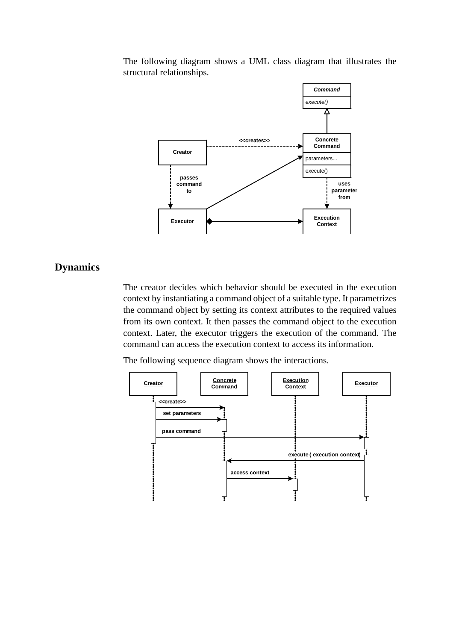The following diagram shows a UML class diagram that illustrates the structural relationships.



# **Dynamics**

The creator decides which behavior should be executed in the execution context by instantiating a command object of a suitable type. It parametrizes the command object by setting its context attributes to the required values from its own context. It then passes the command object to the execution context. Later, the executor triggers the execution of the command. The command can access the execution context to access its information.

The following sequence diagram shows the interactions.

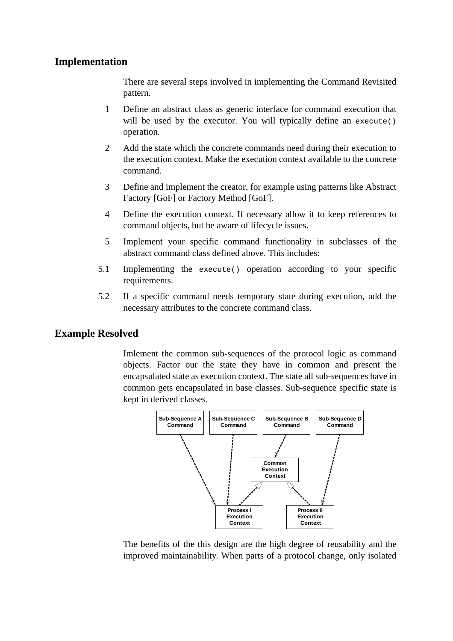### **Implementation**

There are several steps involved in implementing the Command Revisited pattern.

- 1 Define an abstract class as generic interface for command execution that will be used by the executor. You will typically define an execute() operation.
- 2 Add the state which the concrete commands need during their execution to the execution context. Make the execution context available to the concrete command.
- 3 Define and implement the creator, for example using patterns like Abstract Factory [\[GoF\]](#page-6-0) or Factory Method [\[GoF\]](#page-6-0).
- 4 Define the execution context. If necessary allow it to keep references to command objects, but be aware of lifecycle issues.
- 5 Implement your specific command functionality in subclasses of the abstract command class defined above. This includes:
- 5.1 Implementing the execute() operation according to your specific requirements.
- 5.2 If a specific command needs temporary state during execution, add the necessary attributes to the concrete command class.

# **Example Resolved**

Imlement the common sub-sequences of the protocol logic as command objects. Factor our the state they have in common and present the encapsulated state as execution context. The state all sub-sequences have in common gets encapsulated in base classes. Sub-sequence specific state is kept in derived classes.



The benefits of the this design are the high degree of reusability and the improved maintainability. When parts of a protocol change, only isolated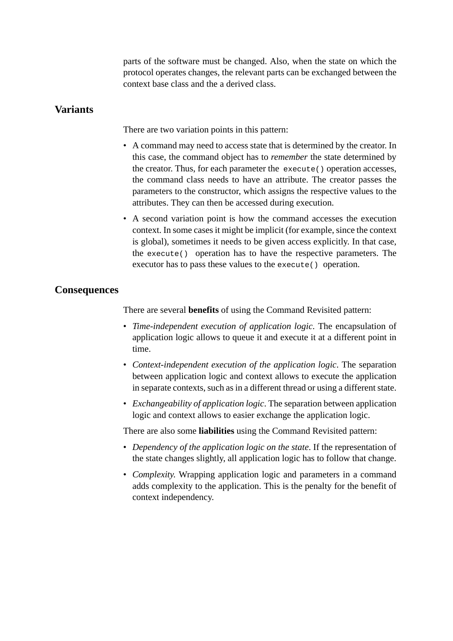parts of the software must be changed. Also, when the state on which the protocol operates changes, the relevant parts can be exchanged between the context base class and the a derived class.

#### **Variants**

There are two variation points in this pattern:

- A command may need to access state that is determined by the creator. In this case, the command object has to *remember* the state determined by the creator. Thus, for each parameter the execute() operation accesses, the command class needs to have an attribute. The creator passes the parameters to the constructor, which assigns the respective values to the attributes. They can then be accessed during execution.
- A second variation point is how the command accesses the execution context. In some cases it might be implicit (for example, since the context is global), sometimes it needs to be given access explicitly. In that case, the execute() operation has to have the respective parameters. The executor has to pass these values to the execute() operation.

#### **Consequences**

There are several **benefits** of using the Command Revisited pattern:

- *Time-independent execution of application logic*. The encapsulation of application logic allows to queue it and execute it at a different point in time.
- *Context-independent execution of the application logic*. The separation between application logic and context allows to execute the application in separate contexts, such as in a different thread or using a different state.
- *Exchangeability of application logic*. The separation between application logic and context allows to easier exchange the application logic.

There are also some **liabilities** using the Command Revisited pattern:

- *Dependency of the application logic on the state*. If the representation of the state changes slightly, all application logic has to follow that change.
- *Complexity*. Wrapping application logic and parameters in a command adds complexity to the application. This is the penalty for the benefit of context independency.